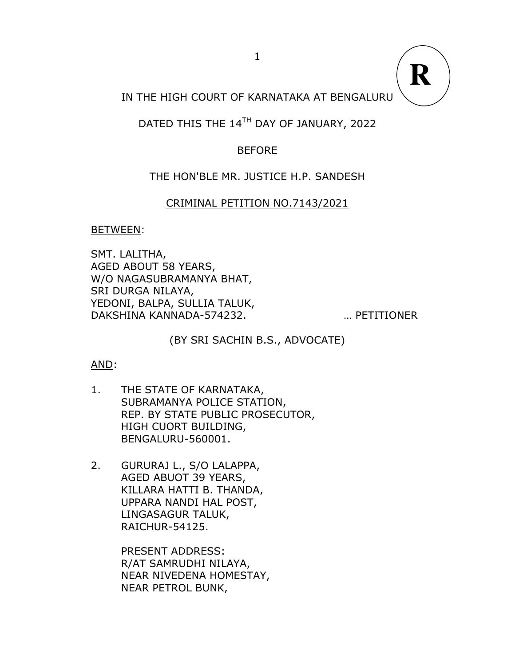IN THE HIGH COURT OF KARNATAKA AT BENGALURU

# DATED THIS THE 14TH DAY OF JANUARY, 2022

# BEFORE

# THE HON'BLE MR. JUSTICE H.P. SANDESH

## CRIMINAL PETITION NO.7143/2021

## BETWEEN:

SMT. LALITHA, AGED ABOUT 58 YEARS, W/O NAGASUBRAMANYA BHAT, SRI DURGA NILAYA, YEDONI, BALPA, SULLIA TALUK, DAKSHINA KANNADA-574232. … PETITIONER

**R**

(BY SRI SACHIN B.S., ADVOCATE)

## AND:

- 1. THE STATE OF KARNATAKA, SUBRAMANYA POLICE STATION, REP. BY STATE PUBLIC PROSECUTOR, HIGH CUORT BUILDING, BENGALURU-560001.
- 2. GURURAJ L., S/O LALAPPA, AGED ABUOT 39 YEARS, KILLARA HATTI B. THANDA, UPPARA NANDI HAL POST, LINGASAGUR TALUK, RAICHUR-54125.

PRESENT ADDRESS: R/AT SAMRUDHI NILAYA, NEAR NIVEDENA HOMESTAY, NEAR PETROL BUNK,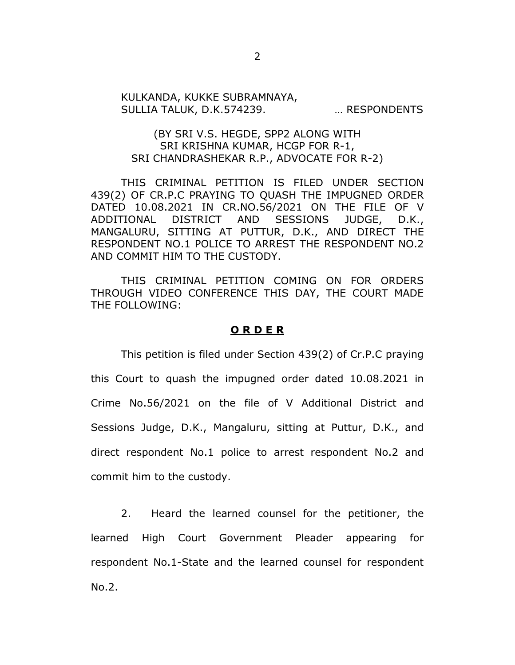#### KULKANDA, KUKKE SUBRAMNAYA, SULLIA TALUK, D.K.574239. … RESPONDENTS

### (BY SRI V.S. HEGDE, SPP2 ALONG WITH SRI KRISHNA KUMAR, HCGP FOR R-1, SRI CHANDRASHEKAR R.P., ADVOCATE FOR R-2)

THIS CRIMINAL PETITION IS FILED UNDER SECTION 439(2) OF CR.P.C PRAYING TO QUASH THE IMPUGNED ORDER DATED 10.08.2021 IN CR.NO.56/2021 ON THE FILE OF V ADDITIONAL DISTRICT AND SESSIONS JUDGE, D.K., MANGALURU, SITTING AT PUTTUR, D.K., AND DIRECT THE RESPONDENT NO.1 POLICE TO ARREST THE RESPONDENT NO.2 AND COMMIT HIM TO THE CUSTODY.

THIS CRIMINAL PETITION COMING ON FOR ORDERS THROUGH VIDEO CONFERENCE THIS DAY, THE COURT MADE THE FOLLOWING:

#### **O R D E R**

This petition is filed under Section 439(2) of Cr.P.C praying this Court to quash the impugned order dated 10.08.2021 in Crime No.56/2021 on the file of V Additional District and Sessions Judge, D.K., Mangaluru, sitting at Puttur, D.K., and direct respondent No.1 police to arrest respondent No.2 and commit him to the custody.

2. Heard the learned counsel for the petitioner, the learned High Court Government Pleader appearing for respondent No.1-State and the learned counsel for respondent No.2.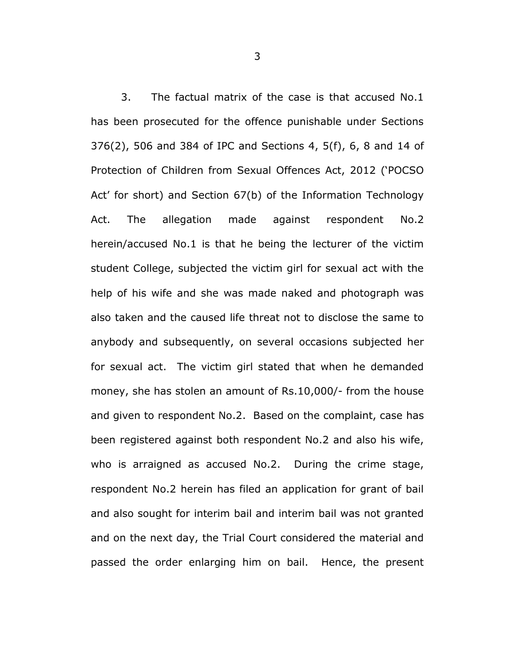3. The factual matrix of the case is that accused No.1 has been prosecuted for the offence punishable under Sections 376(2), 506 and 384 of IPC and Sections 4, 5(f), 6, 8 and 14 of Protection of Children from Sexual Offences Act, 2012 ('POCSO Act' for short) and Section 67(b) of the Information Technology Act. The allegation made against respondent No.2 herein/accused No.1 is that he being the lecturer of the victim student College, subjected the victim girl for sexual act with the help of his wife and she was made naked and photograph was also taken and the caused life threat not to disclose the same to anybody and subsequently, on several occasions subjected her for sexual act. The victim girl stated that when he demanded money, she has stolen an amount of Rs.10,000/- from the house and given to respondent No.2. Based on the complaint, case has been registered against both respondent No.2 and also his wife, who is arraigned as accused No.2. During the crime stage, respondent No.2 herein has filed an application for grant of bail and also sought for interim bail and interim bail was not granted and on the next day, the Trial Court considered the material and passed the order enlarging him on bail. Hence, the present

3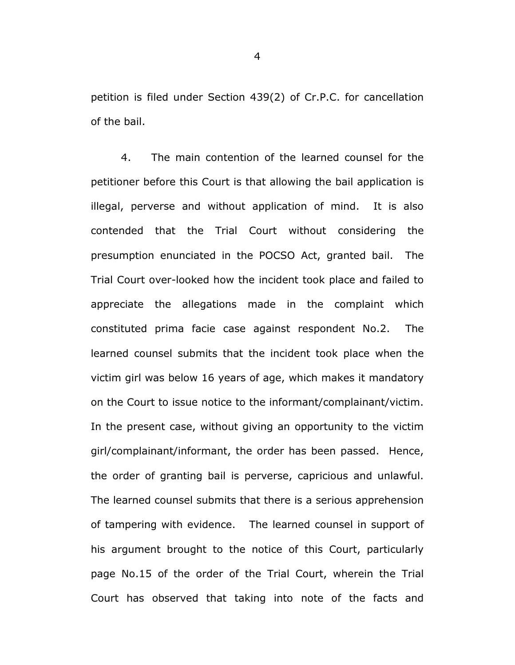petition is filed under Section 439(2) of Cr.P.C. for cancellation of the bail.

4. The main contention of the learned counsel for the petitioner before this Court is that allowing the bail application is illegal, perverse and without application of mind. It is also contended that the Trial Court without considering the presumption enunciated in the POCSO Act, granted bail. The Trial Court over-looked how the incident took place and failed to appreciate the allegations made in the complaint which constituted prima facie case against respondent No.2. The learned counsel submits that the incident took place when the victim girl was below 16 years of age, which makes it mandatory on the Court to issue notice to the informant/complainant/victim. In the present case, without giving an opportunity to the victim girl/complainant/informant, the order has been passed. Hence, the order of granting bail is perverse, capricious and unlawful. The learned counsel submits that there is a serious apprehension of tampering with evidence. The learned counsel in support of his argument brought to the notice of this Court, particularly page No.15 of the order of the Trial Court, wherein the Trial Court has observed that taking into note of the facts and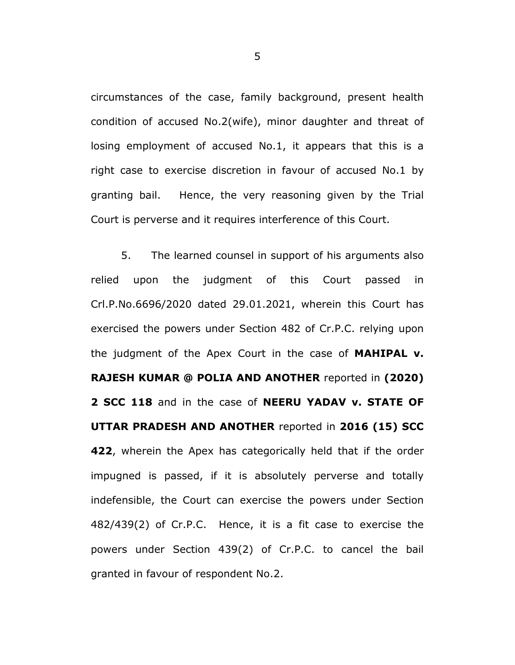circumstances of the case, family background, present health condition of accused No.2(wife), minor daughter and threat of losing employment of accused No.1, it appears that this is a right case to exercise discretion in favour of accused No.1 by granting bail. Hence, the very reasoning given by the Trial Court is perverse and it requires interference of this Court.

5. The learned counsel in support of his arguments also relied upon the judgment of this Court passed in Crl.P.No.6696/2020 dated 29.01.2021, wherein this Court has exercised the powers under Section 482 of Cr.P.C. relying upon the judgment of the Apex Court in the case of **MAHIPAL v. RAJESH KUMAR @ POLIA AND ANOTHER** reported in **(2020) 2 SCC 118** and in the case of **NEERU YADAV v. STATE OF UTTAR PRADESH AND ANOTHER** reported in **2016 (15) SCC 422**, wherein the Apex has categorically held that if the order impugned is passed, if it is absolutely perverse and totally indefensible, the Court can exercise the powers under Section 482/439(2) of Cr.P.C. Hence, it is a fit case to exercise the powers under Section 439(2) of Cr.P.C. to cancel the bail granted in favour of respondent No.2.

5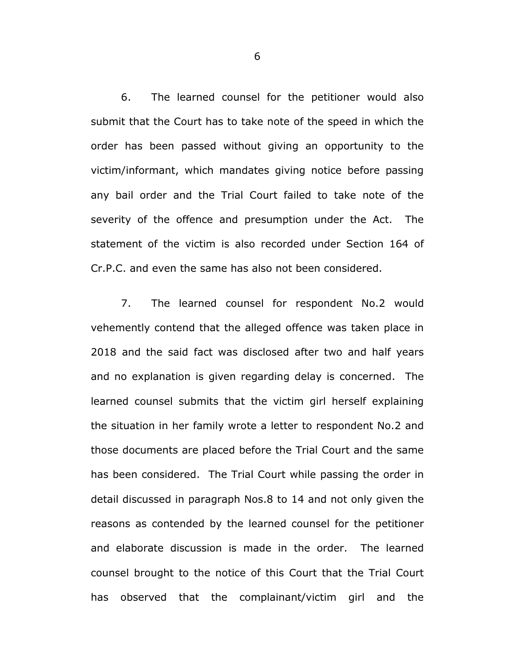6. The learned counsel for the petitioner would also submit that the Court has to take note of the speed in which the order has been passed without giving an opportunity to the victim/informant, which mandates giving notice before passing any bail order and the Trial Court failed to take note of the severity of the offence and presumption under the Act. The statement of the victim is also recorded under Section 164 of Cr.P.C. and even the same has also not been considered.

7. The learned counsel for respondent No.2 would vehemently contend that the alleged offence was taken place in 2018 and the said fact was disclosed after two and half years and no explanation is given regarding delay is concerned. The learned counsel submits that the victim girl herself explaining the situation in her family wrote a letter to respondent No.2 and those documents are placed before the Trial Court and the same has been considered. The Trial Court while passing the order in detail discussed in paragraph Nos.8 to 14 and not only given the reasons as contended by the learned counsel for the petitioner and elaborate discussion is made in the order. The learned counsel brought to the notice of this Court that the Trial Court has observed that the complainant/victim girl and the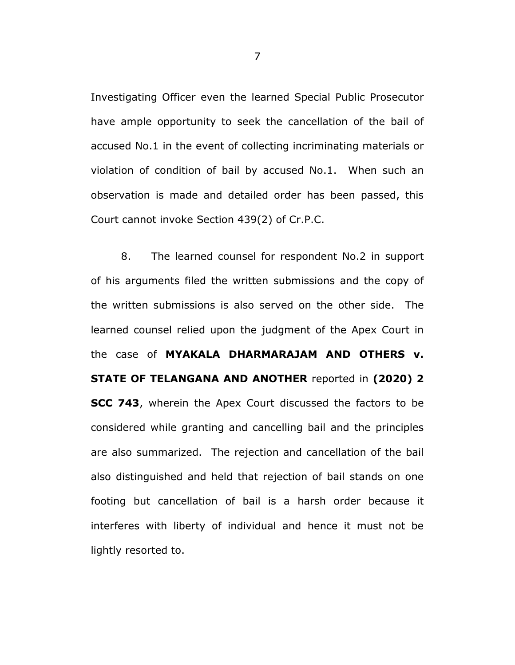Investigating Officer even the learned Special Public Prosecutor have ample opportunity to seek the cancellation of the bail of accused No.1 in the event of collecting incriminating materials or violation of condition of bail by accused No.1. When such an observation is made and detailed order has been passed, this Court cannot invoke Section 439(2) of Cr.P.C.

8. The learned counsel for respondent No.2 in support of his arguments filed the written submissions and the copy of the written submissions is also served on the other side. The learned counsel relied upon the judgment of the Apex Court in the case of **MYAKALA DHARMARAJAM AND OTHERS v. STATE OF TELANGANA AND ANOTHER** reported in **(2020) 2 SCC 743**, wherein the Apex Court discussed the factors to be considered while granting and cancelling bail and the principles are also summarized. The rejection and cancellation of the bail also distinguished and held that rejection of bail stands on one footing but cancellation of bail is a harsh order because it interferes with liberty of individual and hence it must not be lightly resorted to.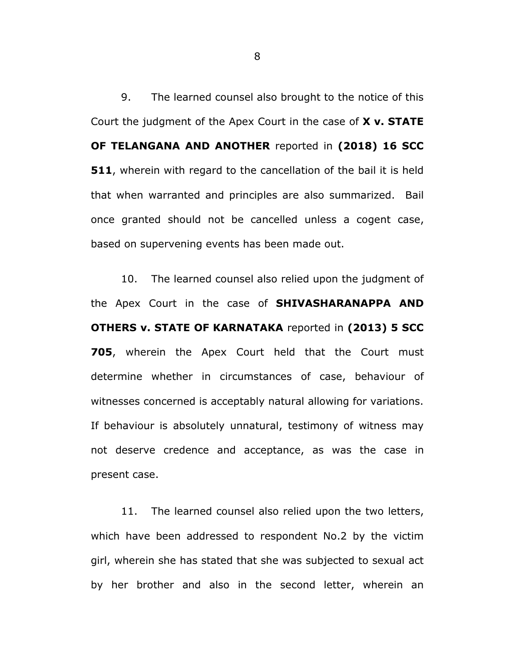9. The learned counsel also brought to the notice of this Court the judgment of the Apex Court in the case of **X v. STATE OF TELANGANA AND ANOTHER** reported in **(2018) 16 SCC 511**, wherein with regard to the cancellation of the bail it is held that when warranted and principles are also summarized. Bail once granted should not be cancelled unless a cogent case, based on supervening events has been made out.

10. The learned counsel also relied upon the judgment of the Apex Court in the case of **SHIVASHARANAPPA AND OTHERS v. STATE OF KARNATAKA** reported in **(2013) 5 SCC 705**, wherein the Apex Court held that the Court must determine whether in circumstances of case, behaviour of witnesses concerned is acceptably natural allowing for variations. If behaviour is absolutely unnatural, testimony of witness may not deserve credence and acceptance, as was the case in present case.

11. The learned counsel also relied upon the two letters, which have been addressed to respondent No.2 by the victim girl, wherein she has stated that she was subjected to sexual act by her brother and also in the second letter, wherein an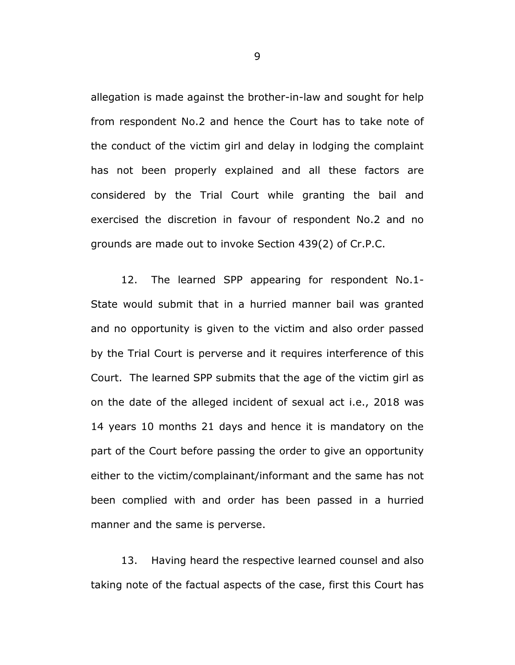allegation is made against the brother-in-law and sought for help from respondent No.2 and hence the Court has to take note of the conduct of the victim girl and delay in lodging the complaint has not been properly explained and all these factors are considered by the Trial Court while granting the bail and exercised the discretion in favour of respondent No.2 and no grounds are made out to invoke Section 439(2) of Cr.P.C.

12. The learned SPP appearing for respondent No.1- State would submit that in a hurried manner bail was granted and no opportunity is given to the victim and also order passed by the Trial Court is perverse and it requires interference of this Court. The learned SPP submits that the age of the victim girl as on the date of the alleged incident of sexual act i.e., 2018 was 14 years 10 months 21 days and hence it is mandatory on the part of the Court before passing the order to give an opportunity either to the victim/complainant/informant and the same has not been complied with and order has been passed in a hurried manner and the same is perverse.

13. Having heard the respective learned counsel and also taking note of the factual aspects of the case, first this Court has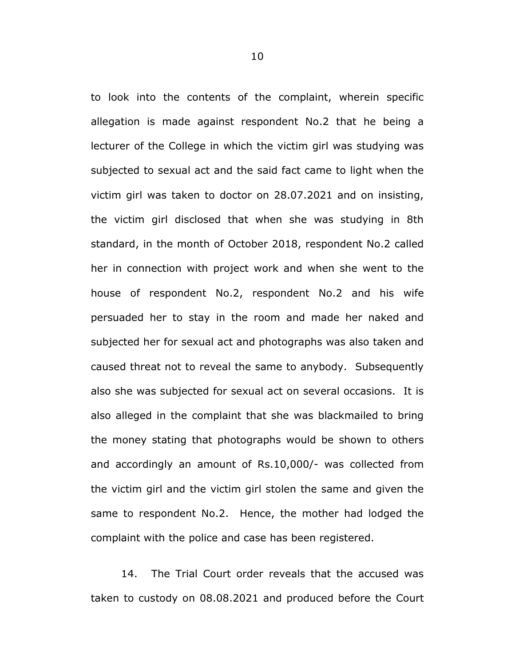to look into the contents of the complaint, wherein specific allegation is made against respondent No.2 that he being a lecturer of the College in which the victim girl was studying was subjected to sexual act and the said fact came to light when the victim girl was taken to doctor on 28.07.2021 and on insisting, the victim girl disclosed that when she was studying in 8th standard, in the month of October 2018, respondent No.2 called her in connection with project work and when she went to the house of respondent No.2, respondent No.2 and his wife persuaded her to stay in the room and made her naked and subjected her for sexual act and photographs was also taken and caused threat not to reveal the same to anybody. Subsequently also she was subjected for sexual act on several occasions. It is also alleged in the complaint that she was blackmailed to bring the money stating that photographs would be shown to others and accordingly an amount of Rs.10,000/- was collected from the victim girl and the victim girl stolen the same and given the same to respondent No.2. Hence, the mother had lodged the complaint with the police and case has been registered.

14. The Trial Court order reveals that the accused was taken to custody on 08.08.2021 and produced before the Court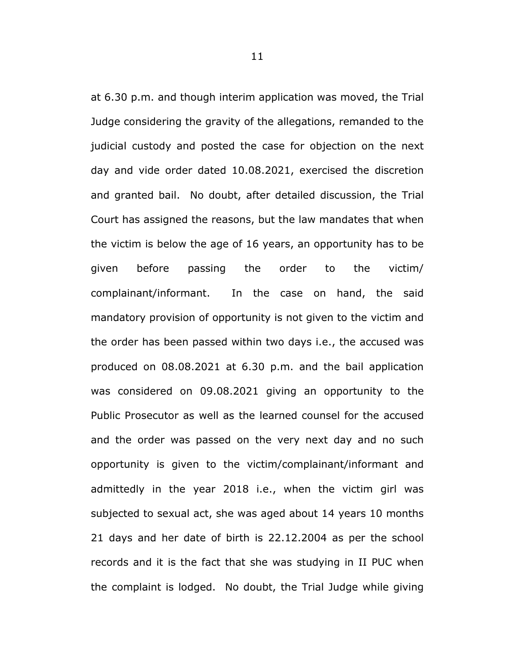at 6.30 p.m. and though interim application was moved, the Trial Judge considering the gravity of the allegations, remanded to the judicial custody and posted the case for objection on the next day and vide order dated 10.08.2021, exercised the discretion and granted bail. No doubt, after detailed discussion, the Trial Court has assigned the reasons, but the law mandates that when the victim is below the age of 16 years, an opportunity has to be given before passing the order to the victim/ complainant/informant. In the case on hand, the said mandatory provision of opportunity is not given to the victim and the order has been passed within two days i.e., the accused was produced on 08.08.2021 at 6.30 p.m. and the bail application was considered on 09.08.2021 giving an opportunity to the Public Prosecutor as well as the learned counsel for the accused and the order was passed on the very next day and no such opportunity is given to the victim/complainant/informant and admittedly in the year 2018 i.e., when the victim girl was subjected to sexual act, she was aged about 14 years 10 months 21 days and her date of birth is 22.12.2004 as per the school records and it is the fact that she was studying in II PUC when the complaint is lodged. No doubt, the Trial Judge while giving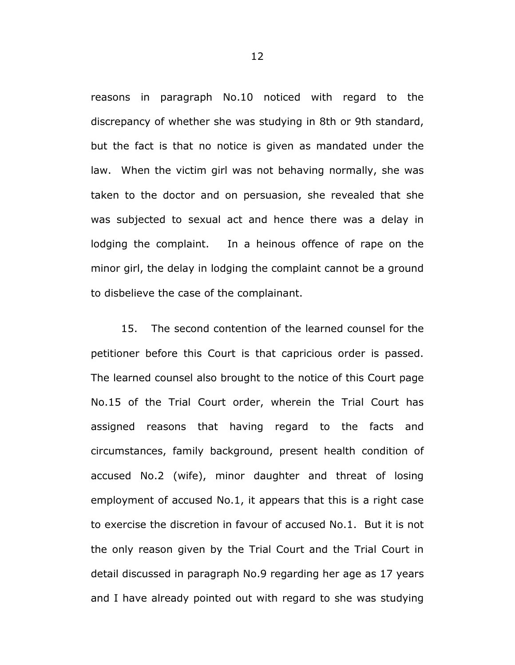reasons in paragraph No.10 noticed with regard to the discrepancy of whether she was studying in 8th or 9th standard, but the fact is that no notice is given as mandated under the law. When the victim girl was not behaving normally, she was taken to the doctor and on persuasion, she revealed that she was subjected to sexual act and hence there was a delay in lodging the complaint. In a heinous offence of rape on the minor girl, the delay in lodging the complaint cannot be a ground to disbelieve the case of the complainant.

15. The second contention of the learned counsel for the petitioner before this Court is that capricious order is passed. The learned counsel also brought to the notice of this Court page No.15 of the Trial Court order, wherein the Trial Court has assigned reasons that having regard to the facts and circumstances, family background, present health condition of accused No.2 (wife), minor daughter and threat of losing employment of accused No.1, it appears that this is a right case to exercise the discretion in favour of accused No.1. But it is not the only reason given by the Trial Court and the Trial Court in detail discussed in paragraph No.9 regarding her age as 17 years and I have already pointed out with regard to she was studying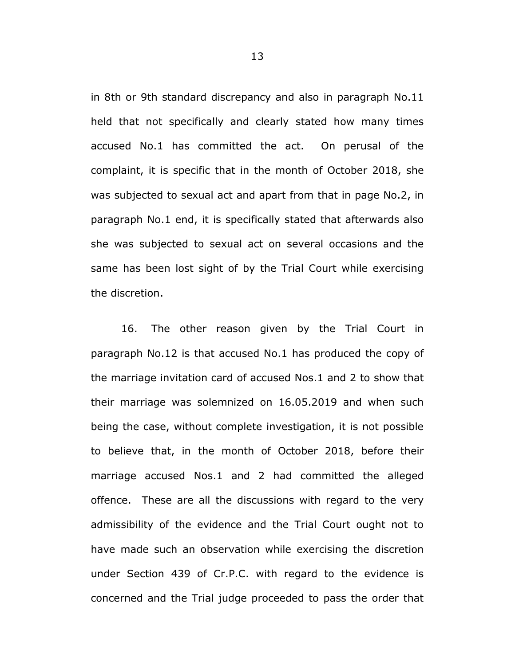in 8th or 9th standard discrepancy and also in paragraph No.11 held that not specifically and clearly stated how many times accused No.1 has committed the act. On perusal of the complaint, it is specific that in the month of October 2018, she was subjected to sexual act and apart from that in page No.2, in paragraph No.1 end, it is specifically stated that afterwards also she was subjected to sexual act on several occasions and the same has been lost sight of by the Trial Court while exercising the discretion.

16. The other reason given by the Trial Court in paragraph No.12 is that accused No.1 has produced the copy of the marriage invitation card of accused Nos.1 and 2 to show that their marriage was solemnized on 16.05.2019 and when such being the case, without complete investigation, it is not possible to believe that, in the month of October 2018, before their marriage accused Nos.1 and 2 had committed the alleged offence. These are all the discussions with regard to the very admissibility of the evidence and the Trial Court ought not to have made such an observation while exercising the discretion under Section 439 of Cr.P.C. with regard to the evidence is concerned and the Trial judge proceeded to pass the order that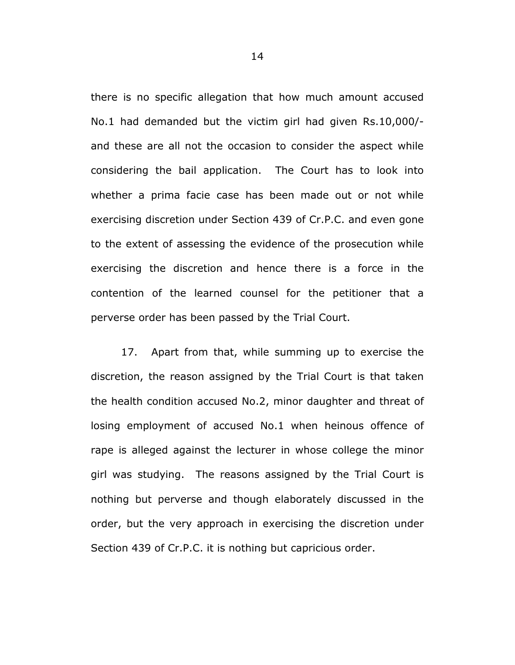there is no specific allegation that how much amount accused No.1 had demanded but the victim girl had given Rs.10,000/ and these are all not the occasion to consider the aspect while considering the bail application. The Court has to look into whether a prima facie case has been made out or not while exercising discretion under Section 439 of Cr.P.C. and even gone to the extent of assessing the evidence of the prosecution while exercising the discretion and hence there is a force in the contention of the learned counsel for the petitioner that a perverse order has been passed by the Trial Court.

17. Apart from that, while summing up to exercise the discretion, the reason assigned by the Trial Court is that taken the health condition accused No.2, minor daughter and threat of losing employment of accused No.1 when heinous offence of rape is alleged against the lecturer in whose college the minor girl was studying. The reasons assigned by the Trial Court is nothing but perverse and though elaborately discussed in the order, but the very approach in exercising the discretion under Section 439 of Cr.P.C. it is nothing but capricious order.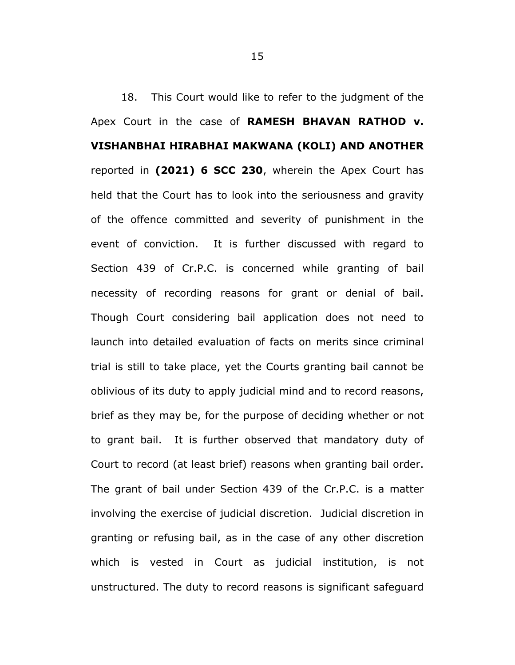18. This Court would like to refer to the judgment of the Apex Court in the case of **RAMESH BHAVAN RATHOD v. VISHANBHAI HIRABHAI MAKWANA (KOLI) AND ANOTHER** reported in **(2021) 6 SCC 230**, wherein the Apex Court has held that the Court has to look into the seriousness and gravity of the offence committed and severity of punishment in the event of conviction. It is further discussed with regard to Section 439 of Cr.P.C. is concerned while granting of bail necessity of recording reasons for grant or denial of bail. Though Court considering bail application does not need to launch into detailed evaluation of facts on merits since criminal trial is still to take place, yet the Courts granting bail cannot be oblivious of its duty to apply judicial mind and to record reasons, brief as they may be, for the purpose of deciding whether or not to grant bail. It is further observed that mandatory duty of Court to record (at least brief) reasons when granting bail order. The grant of bail under Section 439 of the Cr.P.C. is a matter involving the exercise of judicial discretion. Judicial discretion in granting or refusing bail, as in the case of any other discretion which is vested in Court as judicial institution, is not unstructured. The duty to record reasons is significant safeguard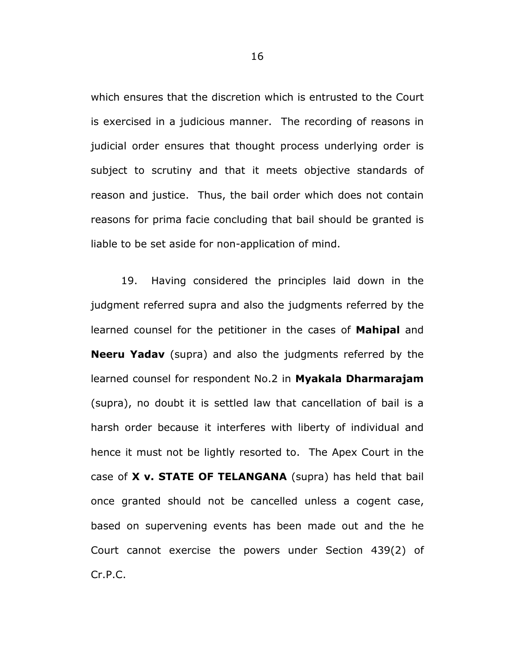which ensures that the discretion which is entrusted to the Court is exercised in a judicious manner. The recording of reasons in judicial order ensures that thought process underlying order is subject to scrutiny and that it meets objective standards of reason and justice. Thus, the bail order which does not contain reasons for prima facie concluding that bail should be granted is liable to be set aside for non-application of mind.

19. Having considered the principles laid down in the judgment referred supra and also the judgments referred by the learned counsel for the petitioner in the cases of **Mahipal** and **Neeru Yadav** (supra) and also the judgments referred by the learned counsel for respondent No.2 in **Myakala Dharmarajam**  (supra), no doubt it is settled law that cancellation of bail is a harsh order because it interferes with liberty of individual and hence it must not be lightly resorted to. The Apex Court in the case of **X v. STATE OF TELANGANA** (supra) has held that bail once granted should not be cancelled unless a cogent case, based on supervening events has been made out and the he Court cannot exercise the powers under Section 439(2) of Cr.P.C.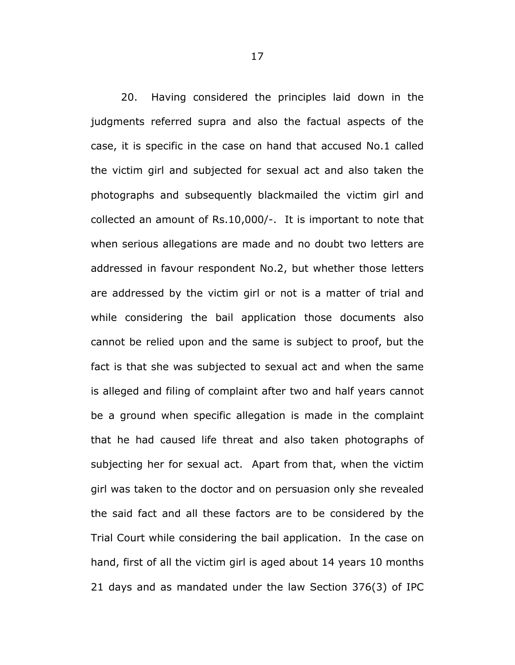20. Having considered the principles laid down in the judgments referred supra and also the factual aspects of the case, it is specific in the case on hand that accused No.1 called the victim girl and subjected for sexual act and also taken the photographs and subsequently blackmailed the victim girl and collected an amount of Rs.10,000/-. It is important to note that when serious allegations are made and no doubt two letters are addressed in favour respondent No.2, but whether those letters are addressed by the victim girl or not is a matter of trial and while considering the bail application those documents also cannot be relied upon and the same is subject to proof, but the fact is that she was subjected to sexual act and when the same is alleged and filing of complaint after two and half years cannot be a ground when specific allegation is made in the complaint that he had caused life threat and also taken photographs of subjecting her for sexual act. Apart from that, when the victim girl was taken to the doctor and on persuasion only she revealed the said fact and all these factors are to be considered by the Trial Court while considering the bail application. In the case on hand, first of all the victim girl is aged about 14 years 10 months 21 days and as mandated under the law Section 376(3) of IPC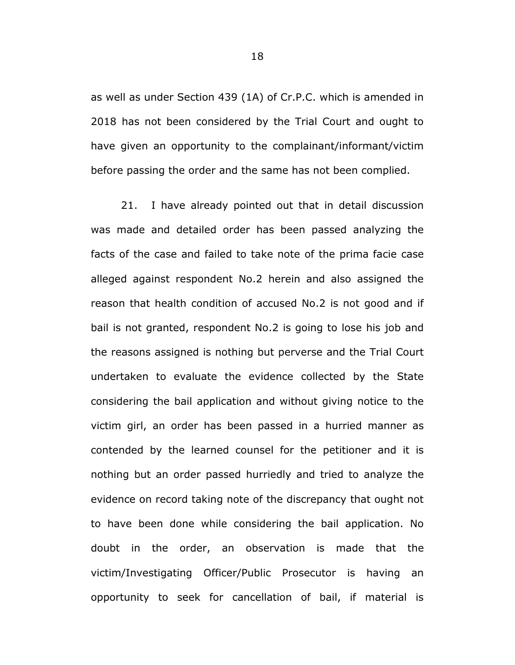as well as under Section 439 (1A) of Cr.P.C. which is amended in 2018 has not been considered by the Trial Court and ought to have given an opportunity to the complainant/informant/victim before passing the order and the same has not been complied.

21. I have already pointed out that in detail discussion was made and detailed order has been passed analyzing the facts of the case and failed to take note of the prima facie case alleged against respondent No.2 herein and also assigned the reason that health condition of accused No.2 is not good and if bail is not granted, respondent No.2 is going to lose his job and the reasons assigned is nothing but perverse and the Trial Court undertaken to evaluate the evidence collected by the State considering the bail application and without giving notice to the victim girl, an order has been passed in a hurried manner as contended by the learned counsel for the petitioner and it is nothing but an order passed hurriedly and tried to analyze the evidence on record taking note of the discrepancy that ought not to have been done while considering the bail application. No doubt in the order, an observation is made that the victim/Investigating Officer/Public Prosecutor is having an opportunity to seek for cancellation of bail, if material is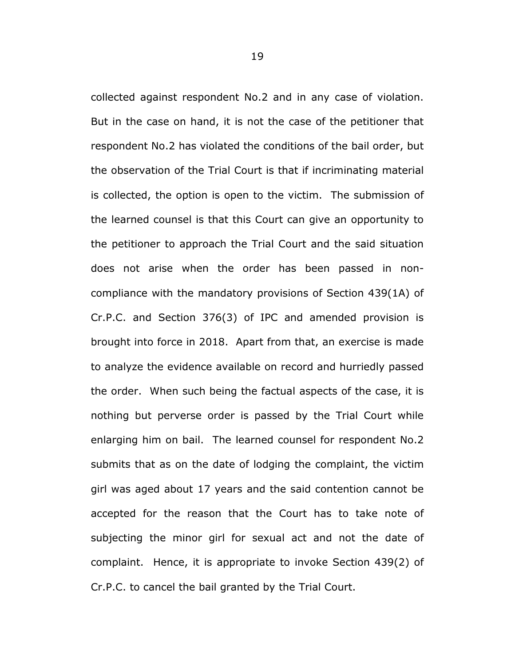collected against respondent No.2 and in any case of violation. But in the case on hand, it is not the case of the petitioner that respondent No.2 has violated the conditions of the bail order, but the observation of the Trial Court is that if incriminating material is collected, the option is open to the victim. The submission of the learned counsel is that this Court can give an opportunity to the petitioner to approach the Trial Court and the said situation does not arise when the order has been passed in noncompliance with the mandatory provisions of Section 439(1A) of Cr.P.C. and Section 376(3) of IPC and amended provision is brought into force in 2018. Apart from that, an exercise is made to analyze the evidence available on record and hurriedly passed the order. When such being the factual aspects of the case, it is nothing but perverse order is passed by the Trial Court while enlarging him on bail. The learned counsel for respondent No.2 submits that as on the date of lodging the complaint, the victim girl was aged about 17 years and the said contention cannot be accepted for the reason that the Court has to take note of subjecting the minor girl for sexual act and not the date of complaint. Hence, it is appropriate to invoke Section 439(2) of Cr.P.C. to cancel the bail granted by the Trial Court.